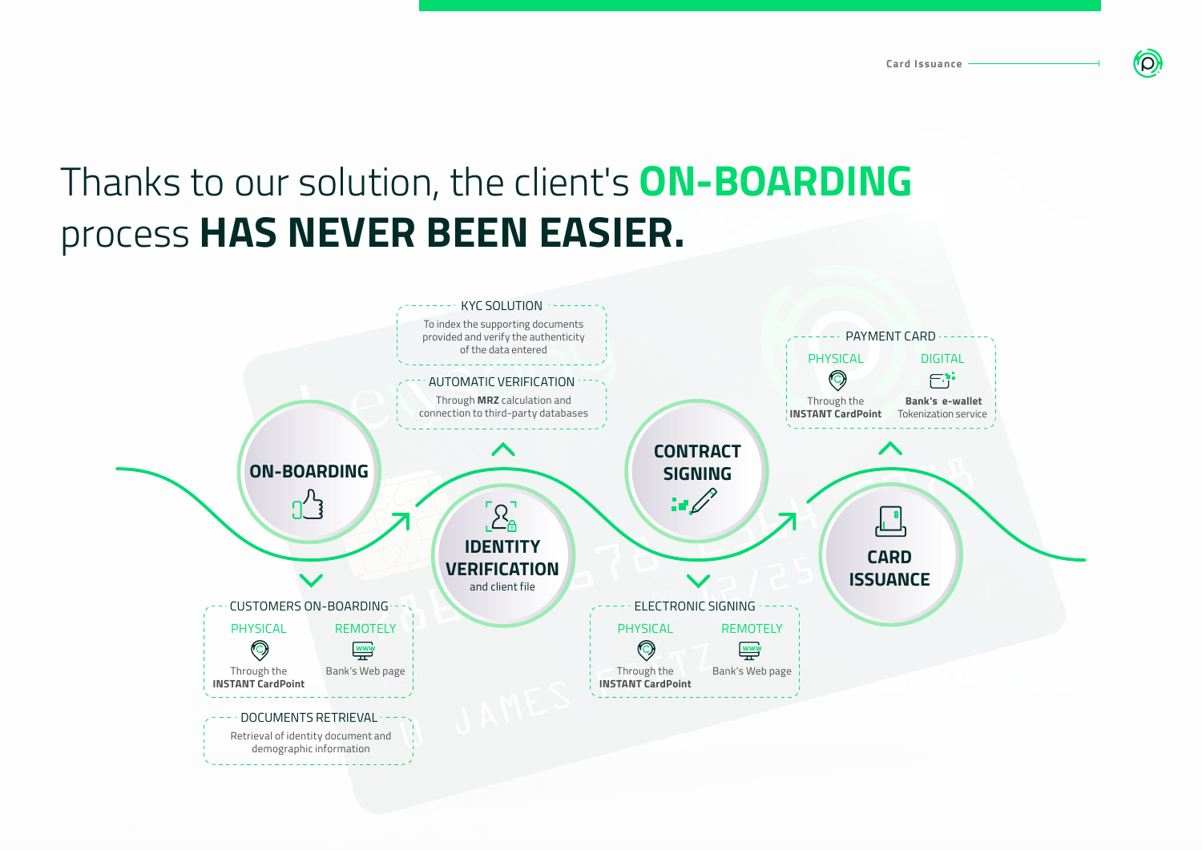## Thanks to our solution, the client's **ON-BOARDING** process **HAS NEVER BEEN EASIER.**